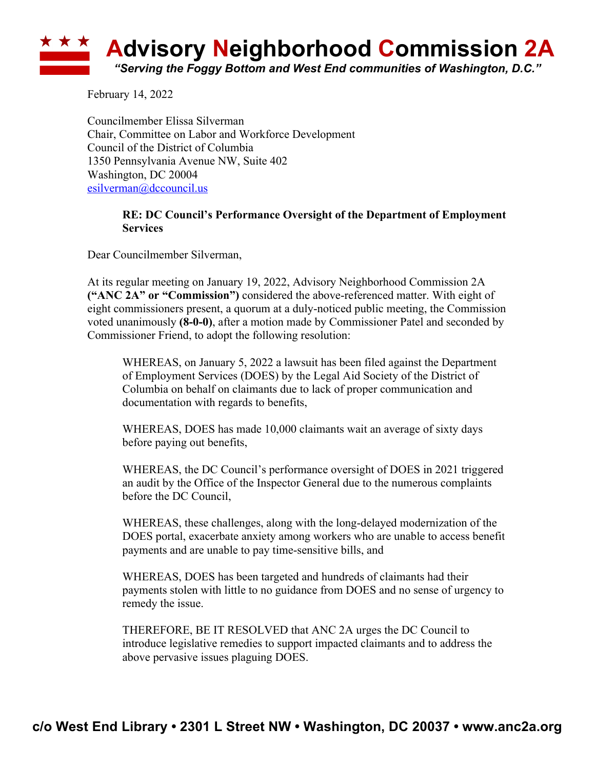## **Advisory Neighborhood Commission 2A** *"Serving the Foggy Bottom and West End communities of Washington, D.C."*

February 14, 2022

Councilmember Elissa Silverman Chair, Committee on Labor and Workforce Development Council of the District of Columbia 1350 Pennsylvania Avenue NW, Suite 402 Washington, DC 20004 esilverman@dccouncil.us

## **RE: DC Council's Performance Oversight of the Department of Employment Services**

Dear Councilmember Silverman,

At its regular meeting on January 19, 2022, Advisory Neighborhood Commission 2A **("ANC 2A" or "Commission")** considered the above-referenced matter. With eight of eight commissioners present, a quorum at a duly-noticed public meeting, the Commission voted unanimously **(8-0-0)**, after a motion made by Commissioner Patel and seconded by Commissioner Friend, to adopt the following resolution:

WHEREAS, on January 5, 2022 a lawsuit has been filed against the Department of Employment Services (DOES) by the Legal Aid Society of the District of Columbia on behalf on claimants due to lack of proper communication and documentation with regards to benefits,

WHEREAS, DOES has made 10,000 claimants wait an average of sixty days before paying out benefits,

WHEREAS, the DC Council's performance oversight of DOES in 2021 triggered an audit by the Office of the Inspector General due to the numerous complaints before the DC Council,

WHEREAS, these challenges, along with the long-delayed modernization of the DOES portal, exacerbate anxiety among workers who are unable to access benefit payments and are unable to pay time-sensitive bills, and

WHEREAS, DOES has been targeted and hundreds of claimants had their payments stolen with little to no guidance from DOES and no sense of urgency to remedy the issue.

THEREFORE, BE IT RESOLVED that ANC 2A urges the DC Council to introduce legislative remedies to support impacted claimants and to address the above pervasive issues plaguing DOES.